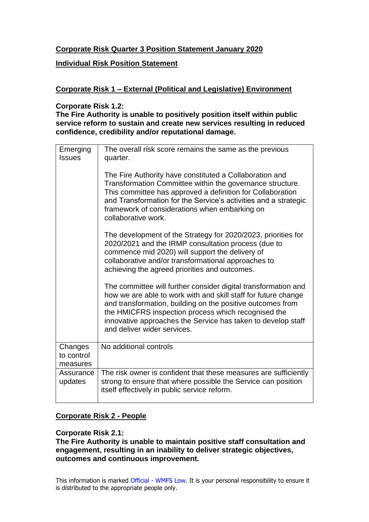## **Corporate Risk Quarter 3 Position Statement January 2020**

### **Individual Risk Position Statement**

## **Corporate Risk 1 – External (Political and Legislative) Environment**

#### **Corporate Risk 1.2:**

**The Fire Authority is unable to positively position itself within public service reform to sustain and create new services resulting in reduced confidence, credibility and/or reputational damage.**

| Emerging<br><b>Issues</b>         | The overall risk score remains the same as the previous<br>quarter.                                                                                                                                                                                                                                                                                  |
|-----------------------------------|------------------------------------------------------------------------------------------------------------------------------------------------------------------------------------------------------------------------------------------------------------------------------------------------------------------------------------------------------|
|                                   | The Fire Authority have constituted a Collaboration and<br>Transformation Committee within the governance structure.<br>This committee has approved a definition for Collaboration<br>and Transformation for the Service's activities and a strategic<br>framework of considerations when embarking on<br>collaborative work.                        |
|                                   | The development of the Strategy for 2020/2023, priorities for<br>2020/2021 and the IRMP consultation process (due to<br>commence mid 2020) will support the delivery of<br>collaborative and/or transformational approaches to<br>achieving the agreed priorities and outcomes.                                                                      |
|                                   | The committee will further consider digital transformation and<br>how we are able to work with and skill staff for future change<br>and transformation, building on the positive outcomes from<br>the HMICFRS inspection process which recognised the<br>innovative approaches the Service has taken to develop staff<br>and deliver wider services. |
| Changes<br>to control<br>measures | No additional controls                                                                                                                                                                                                                                                                                                                               |
| Assurance<br>updates              | The risk owner is confident that these measures are sufficiently<br>strong to ensure that where possible the Service can position<br>itself effectively in public service reform.                                                                                                                                                                    |

## **Corporate Risk 2 - People**

## **Corporate Risk 2.1:**

**The Fire Authority is unable to maintain positive staff consultation and engagement, resulting in an inability to deliver strategic objectives, outcomes and continuous improvement.**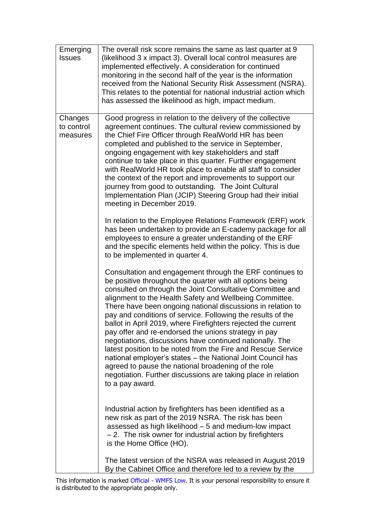| Emerging<br><b>Issues</b>         | The overall risk score remains the same as last quarter at 9<br>(likelihood 3 x impact 3). Overall local control measures are<br>implemented effectively. A consideration for continued<br>monitoring in the second half of the year is the information<br>received from the National Security Risk Assessment (NSRA).<br>This relates to the potential for national industrial action which<br>has assessed the likelihood as high, impact medium.                                                                                                                                                                                                                                                                                                                                                                                        |
|-----------------------------------|--------------------------------------------------------------------------------------------------------------------------------------------------------------------------------------------------------------------------------------------------------------------------------------------------------------------------------------------------------------------------------------------------------------------------------------------------------------------------------------------------------------------------------------------------------------------------------------------------------------------------------------------------------------------------------------------------------------------------------------------------------------------------------------------------------------------------------------------|
| Changes<br>to control<br>measures | Good progress in relation to the delivery of the collective<br>agreement continues. The cultural review commissioned by<br>the Chief Fire Officer through RealWorld HR has been<br>completed and published to the service in September,<br>ongoing engagement with key stakeholders and staff<br>continue to take place in this quarter. Further engagement<br>with RealWorld HR took place to enable all staff to consider<br>the context of the report and improvements to support our<br>journey from good to outstanding. The Joint Cultural<br>Implementation Plan (JCIP) Steering Group had their initial<br>meeting in December 2019.                                                                                                                                                                                               |
|                                   | In relation to the Employee Relations Framework (ERF) work<br>has been undertaken to provide an E-cademy package for all<br>employees to ensure a greater understanding of the ERF<br>and the specific elements held within the policy. This is due<br>to be implemented in quarter 4.                                                                                                                                                                                                                                                                                                                                                                                                                                                                                                                                                     |
|                                   | Consultation and engagement through the ERF continues to<br>be positive throughout the quarter with all options being<br>consulted on through the Joint Consultative Committee and<br>alignment to the Health Safety and Wellbeing Committee.<br>There have been ongoing national discussions in relation to<br>pay and conditions of service. Following the results of the<br>ballot in April 2019, where Firefighters rejected the current<br>pay offer and re-endorsed the unions strategy in pay<br>negotiations, discussions have continued nationally. The<br>latest position to be noted from the Fire and Rescue Service<br>national employer's states – the National Joint Council has<br>agreed to pause the national broadening of the role<br>negotiation. Further discussions are taking place in relation<br>to a pay award. |
|                                   | Industrial action by firefighters has been identified as a<br>new risk as part of the 2019 NSRA. The risk has been<br>assessed as high likelihood - 5 and medium-low impact<br>- 2. The risk owner for industrial action by firefighters<br>is the Home Office (HO).                                                                                                                                                                                                                                                                                                                                                                                                                                                                                                                                                                       |
|                                   | The latest version of the NSRA was released in August 2019<br>By the Cabinet Office and therefore led to a review by the                                                                                                                                                                                                                                                                                                                                                                                                                                                                                                                                                                                                                                                                                                                   |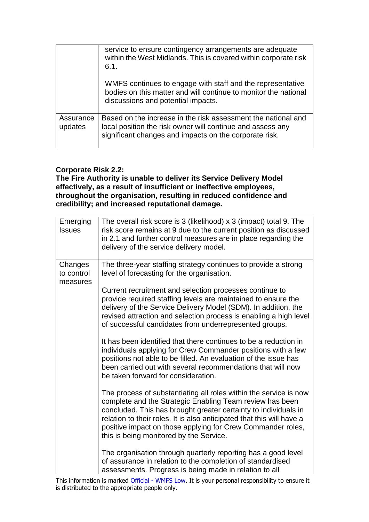|                      | service to ensure contingency arrangements are adequate<br>within the West Midlands. This is covered within corporate risk<br>6.1.                                                    |
|----------------------|---------------------------------------------------------------------------------------------------------------------------------------------------------------------------------------|
|                      | WMFS continues to engage with staff and the representative<br>bodies on this matter and will continue to monitor the national<br>discussions and potential impacts.                   |
| Assurance<br>updates | Based on the increase in the risk assessment the national and<br>local position the risk owner will continue and assess any<br>significant changes and impacts on the corporate risk. |

## **Corporate Risk 2.2:**

**The Fire Authority is unable to deliver its Service Delivery Model effectively, as a result of insufficient or ineffective employees, throughout the organisation, resulting in reduced confidence and credibility; and increased reputational damage.**

| Emerging<br><b>Issues</b>         | The overall risk score is 3 (likelihood) x 3 (impact) total 9. The<br>risk score remains at 9 due to the current position as discussed<br>in 2.1 and further control measures are in place regarding the<br>delivery of the service delivery model.                                                                                                                                 |
|-----------------------------------|-------------------------------------------------------------------------------------------------------------------------------------------------------------------------------------------------------------------------------------------------------------------------------------------------------------------------------------------------------------------------------------|
| Changes<br>to control<br>measures | The three-year staffing strategy continues to provide a strong<br>level of forecasting for the organisation.                                                                                                                                                                                                                                                                        |
|                                   | Current recruitment and selection processes continue to<br>provide required staffing levels are maintained to ensure the<br>delivery of the Service Delivery Model (SDM). In addition, the<br>revised attraction and selection process is enabling a high level<br>of successful candidates from underrepresented groups.                                                           |
|                                   | It has been identified that there continues to be a reduction in<br>individuals applying for Crew Commander positions with a few<br>positions not able to be filled. An evaluation of the issue has<br>been carried out with several recommendations that will now<br>be taken forward for consideration.                                                                           |
|                                   | The process of substantiating all roles within the service is now<br>complete and the Strategic Enabling Team review has been<br>concluded. This has brought greater certainty to individuals in<br>relation to their roles. It is also anticipated that this will have a<br>positive impact on those applying for Crew Commander roles,<br>this is being monitored by the Service. |
|                                   | The organisation through quarterly reporting has a good level<br>of assurance in relation to the completion of standardised<br>assessments. Progress is being made in relation to all                                                                                                                                                                                               |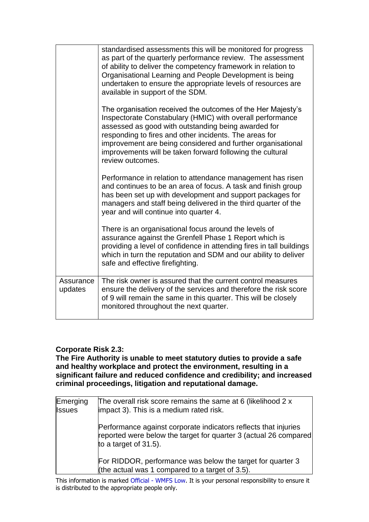|                      | standardised assessments this will be monitored for progress<br>as part of the quarterly performance review. The assessment<br>of ability to deliver the competency framework in relation to<br>Organisational Learning and People Development is being<br>undertaken to ensure the appropriate levels of resources are<br>available in support of the SDM.                               |
|----------------------|-------------------------------------------------------------------------------------------------------------------------------------------------------------------------------------------------------------------------------------------------------------------------------------------------------------------------------------------------------------------------------------------|
|                      | The organisation received the outcomes of the Her Majesty's<br>Inspectorate Constabulary (HMIC) with overall performance<br>assessed as good with outstanding being awarded for<br>responding to fires and other incidents. The areas for<br>improvement are being considered and further organisational<br>improvements will be taken forward following the cultural<br>review outcomes. |
|                      | Performance in relation to attendance management has risen<br>and continues to be an area of focus. A task and finish group<br>has been set up with development and support packages for<br>managers and staff being delivered in the third quarter of the<br>year and will continue into quarter 4.                                                                                      |
|                      | There is an organisational focus around the levels of<br>assurance against the Grenfell Phase 1 Report which is<br>providing a level of confidence in attending fires in tall buildings<br>which in turn the reputation and SDM and our ability to deliver<br>safe and effective firefighting.                                                                                            |
| Assurance<br>updates | The risk owner is assured that the current control measures<br>ensure the delivery of the services and therefore the risk score<br>of 9 will remain the same in this quarter. This will be closely<br>monitored throughout the next quarter.                                                                                                                                              |

## **Corporate Risk 2.3:**

**The Fire Authority is unable to meet statutory duties to provide a safe and healthy workplace and protect the environment, resulting in a significant failure and reduced confidence and credibility; and increased criminal proceedings, litigation and reputational damage.**

| Emerging<br><b>Issues</b> | The overall risk score remains the same at 6 (likelihood 2 x<br>impact 3). This is a medium rated risk.                                                          |
|---------------------------|------------------------------------------------------------------------------------------------------------------------------------------------------------------|
|                           | Performance against corporate indicators reflects that injuries<br>reported were below the target for quarter 3 (actual 26 compared)<br>to a target of $31.5$ ). |
|                           | For RIDDOR, performance was below the target for quarter 3<br>(the actual was 1 compared to a target of 3.5).                                                    |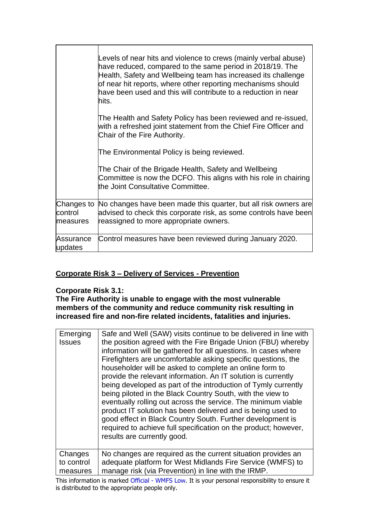|                      | Levels of near hits and violence to crews (mainly verbal abuse)<br>have reduced, compared to the same period in 2018/19. The<br>Health, Safety and Wellbeing team has increased its challenge<br>of near hit reports, where other reporting mechanisms should<br>have been used and this will contribute to a reduction in near<br>hits. |
|----------------------|------------------------------------------------------------------------------------------------------------------------------------------------------------------------------------------------------------------------------------------------------------------------------------------------------------------------------------------|
|                      | The Health and Safety Policy has been reviewed and re-issued,<br>with a refreshed joint statement from the Chief Fire Officer and<br>Chair of the Fire Authority.                                                                                                                                                                        |
|                      | The Environmental Policy is being reviewed.                                                                                                                                                                                                                                                                                              |
|                      | The Chair of the Brigade Health, Safety and Wellbeing<br>Committee is now the DCFO. This aligns with his role in chairing<br>the Joint Consultative Committee.                                                                                                                                                                           |
| control<br>measures  | Changes to No changes have been made this quarter, but all risk owners are<br>advised to check this corporate risk, as some controls have been<br>reassigned to more appropriate owners.                                                                                                                                                 |
| Assurance<br>updates | Control measures have been reviewed during January 2020.                                                                                                                                                                                                                                                                                 |

# **Corporate Risk 3 – Delivery of Services - Prevention**

## **Corporate Risk 3.1:**

**The Fire Authority is unable to engage with the most vulnerable members of the community and reduce community risk resulting in increased fire and non-fire related incidents, fatalities and injuries.**

| Emerging<br><b>Issues</b> | Safe and Well (SAW) visits continue to be delivered in line with<br>the position agreed with the Fire Brigade Union (FBU) whereby<br>information will be gathered for all questions. In cases where<br>Firefighters are uncomfortable asking specific questions, the<br>householder will be asked to complete an online form to<br>provide the relevant information. An IT solution is currently<br>being developed as part of the introduction of Tymly currently<br>being piloted in the Black Country South, with the view to<br>eventually rolling out across the service. The minimum viable<br>product IT solution has been delivered and is being used to<br>good effect in Black Country South. Further development is<br>required to achieve full specification on the product; however,<br>results are currently good. |
|---------------------------|----------------------------------------------------------------------------------------------------------------------------------------------------------------------------------------------------------------------------------------------------------------------------------------------------------------------------------------------------------------------------------------------------------------------------------------------------------------------------------------------------------------------------------------------------------------------------------------------------------------------------------------------------------------------------------------------------------------------------------------------------------------------------------------------------------------------------------|
| Changes                   | No changes are required as the current situation provides an                                                                                                                                                                                                                                                                                                                                                                                                                                                                                                                                                                                                                                                                                                                                                                     |
| to control                | adequate platform for West Midlands Fire Service (WMFS) to                                                                                                                                                                                                                                                                                                                                                                                                                                                                                                                                                                                                                                                                                                                                                                       |
| measures                  | manage risk (via Prevention) in line with the IRMP.                                                                                                                                                                                                                                                                                                                                                                                                                                                                                                                                                                                                                                                                                                                                                                              |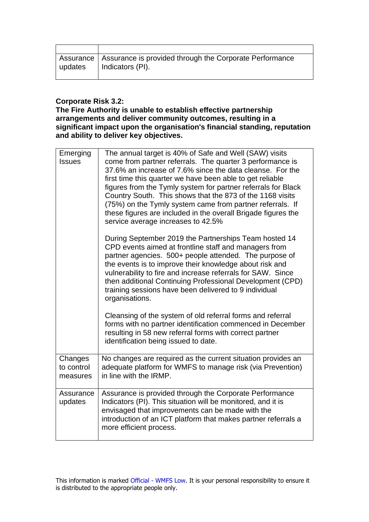| Assurance   Assurance is provided through the Corporate Performance<br>  updates   Indicators (PI). |
|-----------------------------------------------------------------------------------------------------|

## **Corporate Risk 3.2:**

#### **The Fire Authority is unable to establish effective partnership arrangements and deliver community outcomes, resulting in a significant impact upon the organisation's financial standing, reputation and ability to deliver key objectives.**

| Emerging<br><b>Issues</b>         | The annual target is 40% of Safe and Well (SAW) visits<br>come from partner referrals. The quarter 3 performance is<br>37.6% an increase of 7.6% since the data cleanse. For the<br>first time this quarter we have been able to get reliable<br>figures from the Tymly system for partner referrals for Black<br>Country South. This shows that the 873 of the 1168 visits<br>(75%) on the Tymly system came from partner referrals. If<br>these figures are included in the overall Brigade figures the<br>service average increases to 42.5% |
|-----------------------------------|-------------------------------------------------------------------------------------------------------------------------------------------------------------------------------------------------------------------------------------------------------------------------------------------------------------------------------------------------------------------------------------------------------------------------------------------------------------------------------------------------------------------------------------------------|
|                                   | During September 2019 the Partnerships Team hosted 14<br>CPD events aimed at frontline staff and managers from<br>partner agencies. 500+ people attended. The purpose of<br>the events is to improve their knowledge about risk and<br>vulnerability to fire and increase referrals for SAW. Since<br>then additional Continuing Professional Development (CPD)<br>training sessions have been delivered to 9 individual<br>organisations.                                                                                                      |
|                                   | Cleansing of the system of old referral forms and referral<br>forms with no partner identification commenced in December<br>resulting in 58 new referral forms with correct partner<br>identification being issued to date.                                                                                                                                                                                                                                                                                                                     |
| Changes<br>to control<br>measures | No changes are required as the current situation provides an<br>adequate platform for WMFS to manage risk (via Prevention)<br>in line with the IRMP.                                                                                                                                                                                                                                                                                                                                                                                            |
| Assurance<br>updates              | Assurance is provided through the Corporate Performance<br>Indicators (PI). This situation will be monitored, and it is<br>envisaged that improvements can be made with the<br>introduction of an ICT platform that makes partner referrals a<br>more efficient process.                                                                                                                                                                                                                                                                        |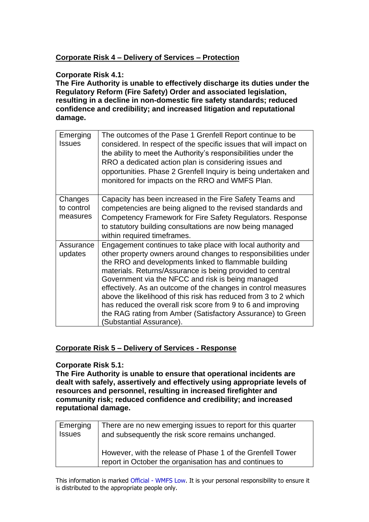# **Corporate Risk 4 – Delivery of Services – Protection**

### **Corporate Risk 4.1:**

**The Fire Authority is unable to effectively discharge its duties under the Regulatory Reform (Fire Safety) Order and associated legislation, resulting in a decline in non-domestic fire safety standards; reduced confidence and credibility; and increased litigation and reputational damage.**

| Emerging<br><b>Issues</b>         | The outcomes of the Pase 1 Grenfell Report continue to be<br>considered. In respect of the specific issues that will impact on<br>the ability to meet the Authority's responsibilities under the<br>RRO a dedicated action plan is considering issues and<br>opportunities. Phase 2 Grenfell Inquiry is being undertaken and<br>monitored for impacts on the RRO and WMFS Plan.                                                                                                                                                                                                                        |
|-----------------------------------|--------------------------------------------------------------------------------------------------------------------------------------------------------------------------------------------------------------------------------------------------------------------------------------------------------------------------------------------------------------------------------------------------------------------------------------------------------------------------------------------------------------------------------------------------------------------------------------------------------|
| Changes<br>to control<br>measures | Capacity has been increased in the Fire Safety Teams and<br>competencies are being aligned to the revised standards and<br>Competency Framework for Fire Safety Regulators. Response<br>to statutory building consultations are now being managed<br>within required timeframes.                                                                                                                                                                                                                                                                                                                       |
| Assurance<br>updates              | Engagement continues to take place with local authority and<br>other property owners around changes to responsibilities under<br>the RRO and developments linked to flammable building<br>materials. Returns/Assurance is being provided to central<br>Government via the NFCC and risk is being managed<br>effectively. As an outcome of the changes in control measures<br>above the likelihood of this risk has reduced from 3 to 2 which<br>has reduced the overall risk score from 9 to 6 and improving<br>the RAG rating from Amber (Satisfactory Assurance) to Green<br>Substantial Assurance). |

## **Corporate Risk 5 – Delivery of Services - Response**

#### **Corporate Risk 5.1:**

**The Fire Authority is unable to ensure that operational incidents are dealt with safely, assertively and effectively using appropriate levels of resources and personnel, resulting in increased firefighter and community risk; reduced confidence and credibility; and increased reputational damage.**

| Emerging      | There are no new emerging issues to report for this quarter                                                           |
|---------------|-----------------------------------------------------------------------------------------------------------------------|
| <b>Issues</b> | and subsequently the risk score remains unchanged.                                                                    |
|               | However, with the release of Phase 1 of the Grenfell Tower<br>report in October the organisation has and continues to |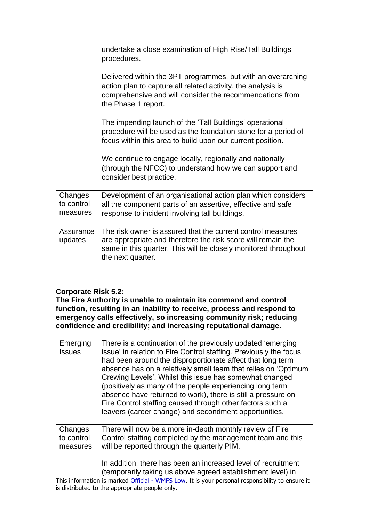|                                   | undertake a close examination of High Rise/Tall Buildings<br>procedures.                                                                                                                                            |
|-----------------------------------|---------------------------------------------------------------------------------------------------------------------------------------------------------------------------------------------------------------------|
|                                   | Delivered within the 3PT programmes, but with an overarching<br>action plan to capture all related activity, the analysis is<br>comprehensive and will consider the recommendations from<br>the Phase 1 report.     |
|                                   | The impending launch of the 'Tall Buildings' operational<br>procedure will be used as the foundation stone for a period of<br>focus within this area to build upon our current position.                            |
|                                   | We continue to engage locally, regionally and nationally<br>(through the NFCC) to understand how we can support and<br>consider best practice.                                                                      |
| Changes<br>to control<br>measures | Development of an organisational action plan which considers<br>all the component parts of an assertive, effective and safe<br>response to incident involving tall buildings.                                       |
| Assurance<br>updates              | The risk owner is assured that the current control measures<br>are appropriate and therefore the risk score will remain the<br>same in this quarter. This will be closely monitored throughout<br>the next quarter. |

# **Corporate Risk 5.2:**

**The Fire Authority is unable to maintain its command and control function, resulting in an inability to receive, process and respond to emergency calls effectively, so increasing community risk; reducing confidence and credibility; and increasing reputational damage.**

| Emerging<br><b>Issues</b>         | There is a continuation of the previously updated 'emerging<br>issue' in relation to Fire Control staffing. Previously the focus<br>had been around the disproportionate affect that long term<br>absence has on a relatively small team that relies on 'Optimum<br>Crewing Levels'. Whilst this issue has somewhat changed<br>(positively as many of the people experiencing long term<br>absence have returned to work), there is still a pressure on<br>Fire Control staffing caused through other factors such a<br>leavers (career change) and secondment opportunities. |
|-----------------------------------|-------------------------------------------------------------------------------------------------------------------------------------------------------------------------------------------------------------------------------------------------------------------------------------------------------------------------------------------------------------------------------------------------------------------------------------------------------------------------------------------------------------------------------------------------------------------------------|
| Changes<br>to control<br>measures | There will now be a more in-depth monthly review of Fire<br>Control staffing completed by the management team and this<br>will be reported through the quarterly PIM.<br>In addition, there has been an increased level of recruitment<br>(temporarily taking us above agreed establishment level) in                                                                                                                                                                                                                                                                         |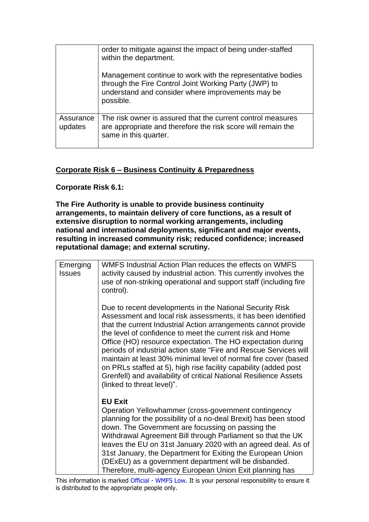|                      | order to mitigate against the impact of being under-staffed<br>within the department.                                                                                                 |
|----------------------|---------------------------------------------------------------------------------------------------------------------------------------------------------------------------------------|
|                      | Management continue to work with the representative bodies<br>through the Fire Control Joint Working Party (JWP) to<br>understand and consider where improvements may be<br>possible. |
| Assurance<br>updates | The risk owner is assured that the current control measures<br>are appropriate and therefore the risk score will remain the<br>same in this quarter.                                  |

## **Corporate Risk 6 – Business Continuity & Preparedness**

**Corporate Risk 6.1:**

**The Fire Authority is unable to provide business continuity arrangements, to maintain delivery of core functions, as a result of extensive disruption to normal working arrangements, including national and international deployments, significant and major events, resulting in increased community risk; reduced confidence; increased reputational damage; and external scrutiny.**

| Emerging<br><b>Issues</b> | WMFS Industrial Action Plan reduces the effects on WMFS<br>activity caused by industrial action. This currently involves the<br>use of non-striking operational and support staff (including fire<br>control).                                                                                                                                                                                                                                                                                                                                                                                                                         |
|---------------------------|----------------------------------------------------------------------------------------------------------------------------------------------------------------------------------------------------------------------------------------------------------------------------------------------------------------------------------------------------------------------------------------------------------------------------------------------------------------------------------------------------------------------------------------------------------------------------------------------------------------------------------------|
|                           | Due to recent developments in the National Security Risk<br>Assessment and local risk assessments, it has been identified<br>that the current Industrial Action arrangements cannot provide<br>the level of confidence to meet the current risk and Home<br>Office (HO) resource expectation. The HO expectation during<br>periods of industrial action state "Fire and Rescue Services will<br>maintain at least 30% minimal level of normal fire cover (based<br>on PRLs staffed at 5), high rise facility capability (added post<br>Grenfell) and availability of critical National Resilience Assets<br>(linked to threat level)". |
|                           | <b>EU Exit</b><br>Operation Yellowhammer (cross-government contingency<br>planning for the possibility of a no-deal Brexit) has been stood<br>down. The Government are focussing on passing the<br>Withdrawal Agreement Bill through Parliament so that the UK<br>leaves the EU on 31st January 2020 with an agreed deal. As of<br>31st January, the Department for Exiting the European Union<br>(DExEU) as a government department will be disbanded.<br>Therefore, multi-agency European Union Exit planning has                                                                                                                    |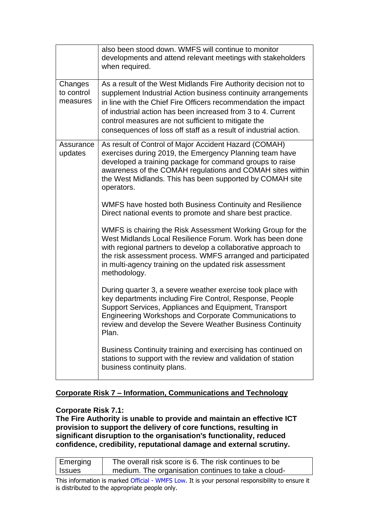|                                   | also been stood down. WMFS will continue to monitor<br>developments and attend relevant meetings with stakeholders<br>when required.                                                                                                                                                                                                                                                          |
|-----------------------------------|-----------------------------------------------------------------------------------------------------------------------------------------------------------------------------------------------------------------------------------------------------------------------------------------------------------------------------------------------------------------------------------------------|
| Changes<br>to control<br>measures | As a result of the West Midlands Fire Authority decision not to<br>supplement Industrial Action business continuity arrangements<br>in line with the Chief Fire Officers recommendation the impact<br>of industrial action has been increased from 3 to 4. Current<br>control measures are not sufficient to mitigate the<br>consequences of loss off staff as a result of industrial action. |
| Assurance<br>updates              | As result of Control of Major Accident Hazard (COMAH)<br>exercises during 2019, the Emergency Planning team have<br>developed a training package for command groups to raise<br>awareness of the COMAH regulations and COMAH sites within<br>the West Midlands. This has been supported by COMAH site<br>operators.                                                                           |
|                                   | WMFS have hosted both Business Continuity and Resilience<br>Direct national events to promote and share best practice.                                                                                                                                                                                                                                                                        |
|                                   | WMFS is chairing the Risk Assessment Working Group for the<br>West Midlands Local Resilience Forum. Work has been done<br>with regional partners to develop a collaborative approach to<br>the risk assessment process. WMFS arranged and participated<br>in multi-agency training on the updated risk assessment<br>methodology.                                                             |
|                                   | During quarter 3, a severe weather exercise took place with<br>key departments including Fire Control, Response, People<br>Support Services, Appliances and Equipment, Transport<br><b>Engineering Workshops and Corporate Communications to</b><br>review and develop the Severe Weather Business Continuity<br>Plan.                                                                        |
|                                   | Business Continuity training and exercising has continued on<br>stations to support with the review and validation of station<br>business continuity plans.                                                                                                                                                                                                                                   |

# **Corporate Risk 7 – Information, Communications and Technology**

#### **Corporate Risk 7.1:**

**The Fire Authority is unable to provide and maintain an effective ICT provision to support the delivery of core functions, resulting in significant disruption to the organisation's functionality, reduced confidence, credibility, reputational damage and external scrutiny.**

| Emerging      | The overall risk score is 6. The risk continues to be |
|---------------|-------------------------------------------------------|
| <b>Issues</b> | medium. The organisation continues to take a cloud-   |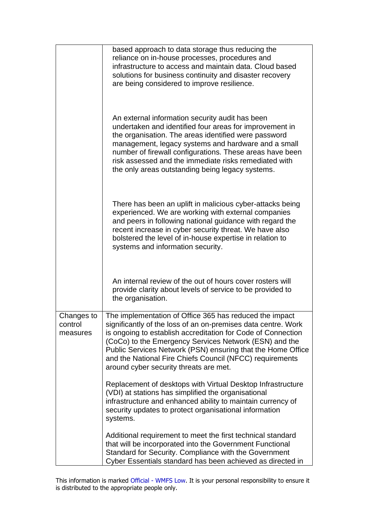|                                   | based approach to data storage thus reducing the<br>reliance on in-house processes, procedures and<br>infrastructure to access and maintain data. Cloud based<br>solutions for business continuity and disaster recovery<br>are being considered to improve resilience.                                                                                                                                                 |
|-----------------------------------|-------------------------------------------------------------------------------------------------------------------------------------------------------------------------------------------------------------------------------------------------------------------------------------------------------------------------------------------------------------------------------------------------------------------------|
|                                   | An external information security audit has been<br>undertaken and identified four areas for improvement in<br>the organisation. The areas identified were password<br>management, legacy systems and hardware and a small<br>number of firewall configurations. These areas have been<br>risk assessed and the immediate risks remediated with<br>the only areas outstanding being legacy systems.                      |
|                                   | There has been an uplift in malicious cyber-attacks being<br>experienced. We are working with external companies<br>and peers in following national guidance with regard the<br>recent increase in cyber security threat. We have also<br>bolstered the level of in-house expertise in relation to<br>systems and information security.                                                                                 |
|                                   | An internal review of the out of hours cover rosters will<br>provide clarity about levels of service to be provided to<br>the organisation.                                                                                                                                                                                                                                                                             |
| Changes to<br>control<br>measures | The implementation of Office 365 has reduced the impact<br>significantly of the loss of an on-premises data centre. Work<br>is ongoing to establish accreditation for Code of Connection<br>(CoCo) to the Emergency Services Network (ESN) and the<br>Public Services Network (PSN) ensuring that the Home Office<br>and the National Fire Chiefs Council (NFCC) requirements<br>around cyber security threats are met. |
|                                   | Replacement of desktops with Virtual Desktop Infrastructure<br>(VDI) at stations has simplified the organisational<br>infrastructure and enhanced ability to maintain currency of<br>security updates to protect organisational information<br>systems.                                                                                                                                                                 |
|                                   | Additional requirement to meet the first technical standard<br>that will be incorporated into the Government Functional<br>Standard for Security. Compliance with the Government<br>Cyber Essentials standard has been achieved as directed in                                                                                                                                                                          |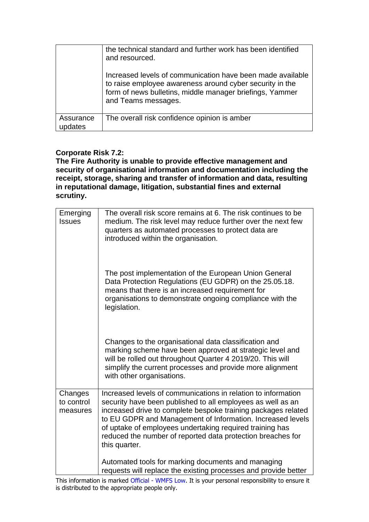|                            | the technical standard and further work has been identified<br>and resourced.                                                                                                                             |
|----------------------------|-----------------------------------------------------------------------------------------------------------------------------------------------------------------------------------------------------------|
|                            | Increased levels of communication have been made available<br>to raise employee awareness around cyber security in the<br>form of news bulletins, middle manager briefings, Yammer<br>and Teams messages. |
| Assurance<br><b>ndates</b> | The overall risk confidence opinion is amber                                                                                                                                                              |

## **Corporate Risk 7.2:**

**The Fire Authority is unable to provide effective management and security of organisational information and documentation including the receipt, storage, sharing and transfer of information and data, resulting in reputational damage, litigation, substantial fines and external scrutiny.**

| Emerging<br><b>Issues</b>         | The overall risk score remains at 6. The risk continues to be<br>medium. The risk level may reduce further over the next few<br>quarters as automated processes to protect data are<br>introduced within the organisation.                                                                                                                                                                              |
|-----------------------------------|---------------------------------------------------------------------------------------------------------------------------------------------------------------------------------------------------------------------------------------------------------------------------------------------------------------------------------------------------------------------------------------------------------|
|                                   | The post implementation of the European Union General<br>Data Protection Regulations (EU GDPR) on the 25.05.18.<br>means that there is an increased requirement for<br>organisations to demonstrate ongoing compliance with the<br>legislation.                                                                                                                                                         |
|                                   | Changes to the organisational data classification and<br>marking scheme have been approved at strategic level and<br>will be rolled out throughout Quarter 4 2019/20. This will<br>simplify the current processes and provide more alignment<br>with other organisations.                                                                                                                               |
| Changes<br>to control<br>measures | Increased levels of communications in relation to information<br>security have been published to all employees as well as an<br>increased drive to complete bespoke training packages related<br>to EU GDPR and Management of Information. Increased levels<br>of uptake of employees undertaking required training has<br>reduced the number of reported data protection breaches for<br>this quarter. |
|                                   | Automated tools for marking documents and managing<br>requests will replace the existing processes and provide better                                                                                                                                                                                                                                                                                   |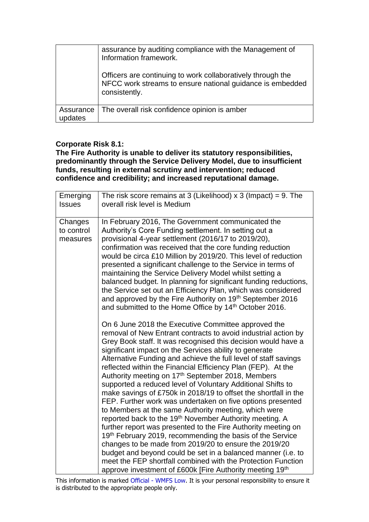|                      | assurance by auditing compliance with the Management of<br>Information framework.                                                         |
|----------------------|-------------------------------------------------------------------------------------------------------------------------------------------|
|                      | Officers are continuing to work collaboratively through the<br>NFCC work streams to ensure national guidance is embedded<br>consistently. |
| Assurance<br>updates | The overall risk confidence opinion is amber                                                                                              |

### **Corporate Risk 8.1:**

**The Fire Authority is unable to deliver its statutory responsibilities, predominantly through the Service Delivery Model, due to insufficient funds, resulting in external scrutiny and intervention; reduced confidence and credibility; and increased reputational damage.**

| Emerging<br><b>Issues</b>         | The risk score remains at 3 (Likelihood) $x$ 3 (Impact) = 9. The<br>overall risk level is Medium                                                                                                                                                                                                                                                                                                                                                                                                                                                                                                                                                                                                                                                                                                                                                                                                                                                                                                                                                                                                                                                           |
|-----------------------------------|------------------------------------------------------------------------------------------------------------------------------------------------------------------------------------------------------------------------------------------------------------------------------------------------------------------------------------------------------------------------------------------------------------------------------------------------------------------------------------------------------------------------------------------------------------------------------------------------------------------------------------------------------------------------------------------------------------------------------------------------------------------------------------------------------------------------------------------------------------------------------------------------------------------------------------------------------------------------------------------------------------------------------------------------------------------------------------------------------------------------------------------------------------|
| Changes<br>to control<br>measures | In February 2016, The Government communicated the<br>Authority's Core Funding settlement. In setting out a<br>provisional 4-year settlement (2016/17 to 2019/20),<br>confirmation was received that the core funding reduction<br>would be circa £10 Million by 2019/20. This level of reduction<br>presented a significant challenge to the Service in terms of<br>maintaining the Service Delivery Model whilst setting a<br>balanced budget. In planning for significant funding reductions,<br>the Service set out an Efficiency Plan, which was considered<br>and approved by the Fire Authority on 19 <sup>th</sup> September 2016<br>and submitted to the Home Office by 14 <sup>th</sup> October 2016.                                                                                                                                                                                                                                                                                                                                                                                                                                             |
|                                   | On 6 June 2018 the Executive Committee approved the<br>removal of New Entrant contracts to avoid industrial action by<br>Grey Book staff. It was recognised this decision would have a<br>significant impact on the Services ability to generate<br>Alternative Funding and achieve the full level of staff savings<br>reflected within the Financial Efficiency Plan (FEP). At the<br>Authority meeting on 17th September 2018, Members<br>supported a reduced level of Voluntary Additional Shifts to<br>make savings of £750k in 2018/19 to offset the shortfall in the<br>FEP. Further work was undertaken on five options presented<br>to Members at the same Authority meeting, which were<br>reported back to the 19 <sup>th</sup> November Authority meeting. A<br>further report was presented to the Fire Authority meeting on<br>19th February 2019, recommending the basis of the Service<br>changes to be made from 2019/20 to ensure the 2019/20<br>budget and beyond could be set in a balanced manner (i.e. to<br>meet the FEP shortfall combined with the Protection Function<br>approve investment of £600k [Fire Authority meeting 19th |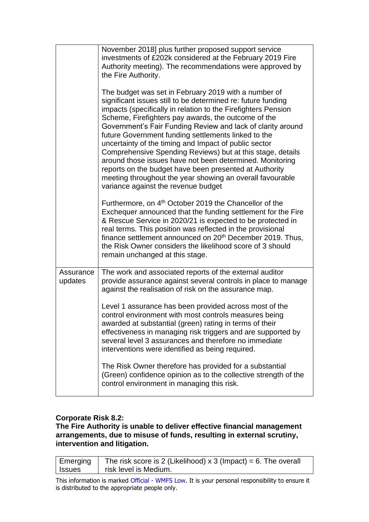|                      | November 2018] plus further proposed support service<br>investments of £202k considered at the February 2019 Fire<br>Authority meeting). The recommendations were approved by<br>the Fire Authority.                                                                                                                                                                                                                                                                                                                                                                                                                                                                                                                |
|----------------------|---------------------------------------------------------------------------------------------------------------------------------------------------------------------------------------------------------------------------------------------------------------------------------------------------------------------------------------------------------------------------------------------------------------------------------------------------------------------------------------------------------------------------------------------------------------------------------------------------------------------------------------------------------------------------------------------------------------------|
|                      | The budget was set in February 2019 with a number of<br>significant issues still to be determined re: future funding<br>impacts (specifically in relation to the Firefighters Pension<br>Scheme, Firefighters pay awards, the outcome of the<br>Government's Fair Funding Review and lack of clarity around<br>future Government funding settlements linked to the<br>uncertainty of the timing and Impact of public sector<br>Comprehensive Spending Reviews) but at this stage, details<br>around those issues have not been determined. Monitoring<br>reports on the budget have been presented at Authority<br>meeting throughout the year showing an overall favourable<br>variance against the revenue budget |
|                      | Furthermore, on 4 <sup>th</sup> October 2019 the Chancellor of the<br>Exchequer announced that the funding settlement for the Fire<br>& Rescue Service in 2020/21 is expected to be protected in<br>real terms. This position was reflected in the provisional<br>finance settlement announced on 20 <sup>th</sup> December 2019. Thus,<br>the Risk Owner considers the likelihood score of 3 should<br>remain unchanged at this stage.                                                                                                                                                                                                                                                                             |
| Assurance<br>updates | The work and associated reports of the external auditor<br>provide assurance against several controls in place to manage<br>against the realisation of risk on the assurance map.                                                                                                                                                                                                                                                                                                                                                                                                                                                                                                                                   |
|                      | Level 1 assurance has been provided across most of the<br>control environment with most controls measures being<br>awarded at substantial (green) rating in terms of their<br>effectiveness in managing risk triggers and are supported by<br>several level 3 assurances and therefore no immediate<br>interventions were identified as being required.                                                                                                                                                                                                                                                                                                                                                             |
|                      | The Risk Owner therefore has provided for a substantial<br>(Green) confidence opinion as to the collective strength of the<br>control environment in managing this risk.                                                                                                                                                                                                                                                                                                                                                                                                                                                                                                                                            |

## **Corporate Risk 8.2:**

### **The Fire Authority is unable to deliver effective financial management arrangements, due to misuse of funds, resulting in external scrutiny, intervention and litigation.**

| Emerging      | The risk score is 2 (Likelihood) $x$ 3 (Impact) = 6. The overall |
|---------------|------------------------------------------------------------------|
| <b>Issues</b> | risk level is Medium.                                            |